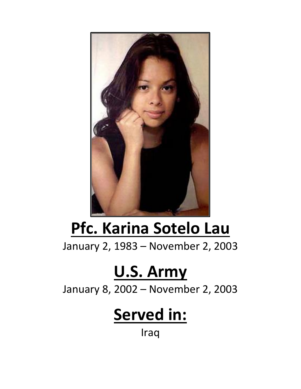

## **Pfc. Karina Sotelo Lau**

January 2, 1983 – November 2, 2003

## **U.S. Army**

January 8, 2002 – November 2, 2003

## **Served in:**

Iraq